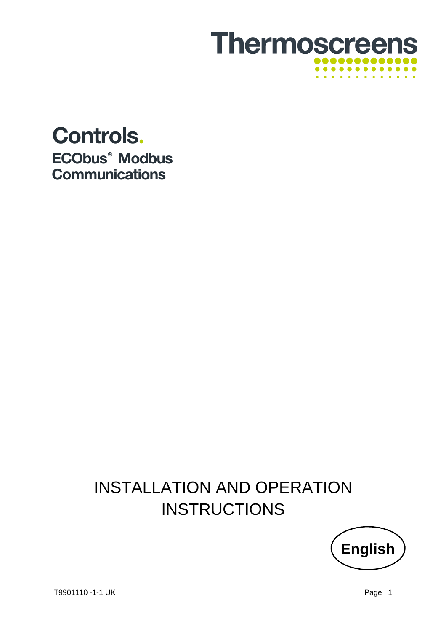

## **Controls.** ECObus<sup>®</sup> Modbus **Communications**

# INSTALLATION AND OPERATION **INSTRUCTIONS**

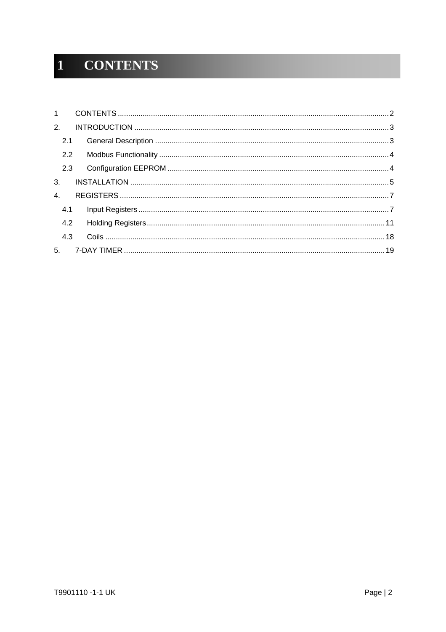#### **CONTENTS**  $\mathbf{1}$

|    | 2.1 |  |
|----|-----|--|
|    | 2.2 |  |
|    | 2.3 |  |
| 3. |     |  |
| 4. |     |  |
|    | 4.1 |  |
|    | 4.2 |  |
|    | 4.3 |  |
|    |     |  |
|    |     |  |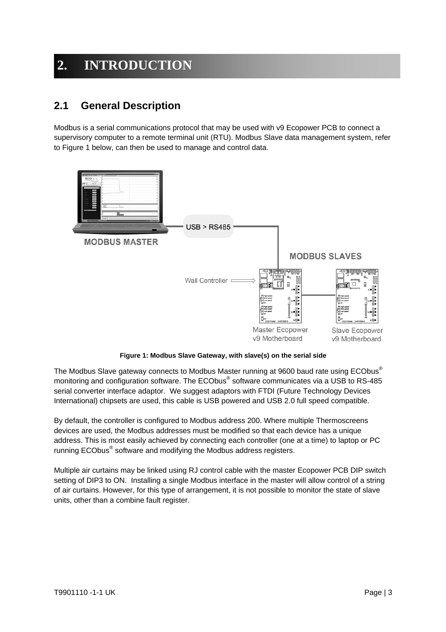### **2. INTRODUCTION**

### **2.1 General Description**

Modbus is a serial communications protocol that may be used with v9 Ecopower PCB to connect a supervisory computer to a remote terminal unit (RTU). Modbus Slave data management system, refer to Figure 1 below, can then be used to manage and control data.



**Figure 1: Modbus Slave Gateway, with slave(s) on the serial side** 

The Modbus Slave gateway connects to Modbus Master running at 9600 baud rate using ECObus<sup>®</sup> monitoring and configuration software. The ECObus® software communicates via a USB to RS-485 serial converter interface adaptor. We suggest adaptors with FTDI (Future Technology Devices International) chipsets are used, this cable is USB powered and USB 2.0 full speed compatible.

By default, the controller is configured to Modbus address 200. Where multiple Thermoscreens devices are used, the Modbus addresses must be modified so that each device has a unique address. This is most easily achieved by connecting each controller (one at a time) to laptop or PC running ECObus® software and modifying the Modbus address registers.

Multiple air curtains may be linked using RJ control cable with the master Ecopower PCB DIP switch setting of DIP3 to ON. Installing a single Modbus interface in the master will allow control of a string of air curtains. However, for this type of arrangement, it is not possible to monitor the state of slave units, other than a combine fault register.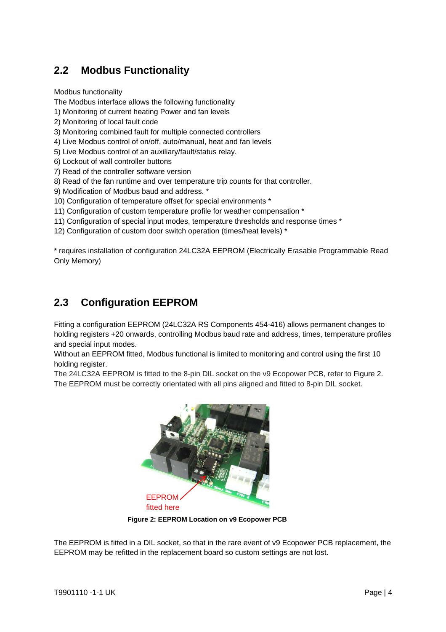### **2.2 Modbus Functionality**

Modbus functionality

The Modbus interface allows the following functionality

- 1) Monitoring of current heating Power and fan levels
- 2) Monitoring of local fault code
- 3) Monitoring combined fault for multiple connected controllers
- 4) Live Modbus control of on/off, auto/manual, heat and fan levels
- 5) Live Modbus control of an auxiliary/fault/status relay.
- 6) Lockout of wall controller buttons
- 7) Read of the controller software version
- 8) Read of the fan runtime and over temperature trip counts for that controller.
- 9) Modification of Modbus baud and address. \*
- 10) Configuration of temperature offset for special environments \*
- 11) Configuration of custom temperature profile for weather compensation \*
- 11) Configuration of special input modes, temperature thresholds and response times \*
- 12) Configuration of custom door switch operation (times/heat levels) \*

\* requires installation of configuration 24LC32A EEPROM (Electrically Erasable Programmable Read Only Memory)

### **2.3 Configuration EEPROM**

Fitting a configuration EEPROM (24LC32A RS Components 454-416) allows permanent changes to holding registers +20 onwards, controlling Modbus baud rate and address, times, temperature profiles and special input modes.

Without an EEPROM fitted, Modbus functional is limited to monitoring and control using the first 10 holding register.

The 24LC32A EEPROM is fitted to the 8-pin DIL socket on the v9 Ecopower PCB, refer to Figure 2. The EEPROM must be correctly orientated with all pins aligned and fitted to 8-pin DIL socket.



**Figure 2: EEPROM Location on v9 Ecopower PCB**

The EEPROM is fitted in a DIL socket, so that in the rare event of v9 Ecopower PCB replacement, the EEPROM may be refitted in the replacement board so custom settings are not lost.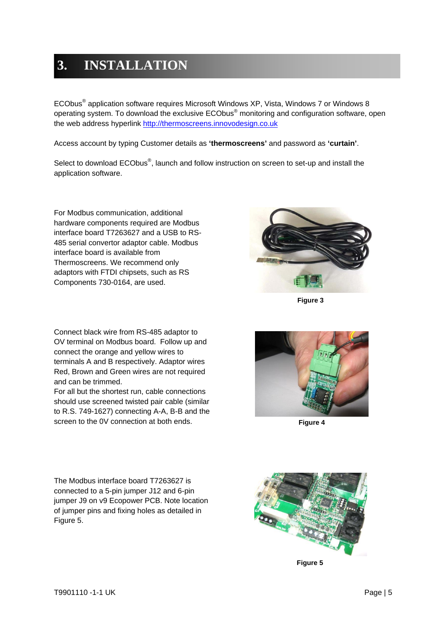## **3. INSTALLATION**

ECObus<sup>®</sup> application software requires Microsoft Windows XP, Vista, Windows 7 or Windows 8 operating system. To download the exclusive  $ECObus^{\circledast}$  monitoring and configuration software, open the web address hyperlink http://thermoscreens.innovodesign.co.uk

Access account by typing Customer details as **'thermoscreens'** and password as **'curtain'**.

Select to download ECObus®, launch and follow instruction on screen to set-up and install the application software.

For Modbus communication, additional hardware components required are Modbus interface board T7263627 and a USB to RS-485 serial convertor adaptor cable. Modbus interface board is available from Thermoscreens. We recommend only adaptors with FTDI chipsets, such as RS Components 730-0164, are used.

Connect black wire from RS-485 adaptor to OV terminal on Modbus board. Follow up and connect the orange and yellow wires to terminals A and B respectively. Adaptor wires Red, Brown and Green wires are not required and can be trimmed.

For all but the shortest run, cable connections should use screened twisted pair cable (similar to R.S. 749-1627) connecting A-A, B-B and the screen to the 0V connection at both ends.



**Figure 3**



**Figure 4**

The Modbus interface board T7263627 is connected to a 5-pin jumper J12 and 6-pin jumper J9 on v9 Ecopower PCB. Note location of jumper pins and fixing holes as detailed in Figure 5.



**Figure 5**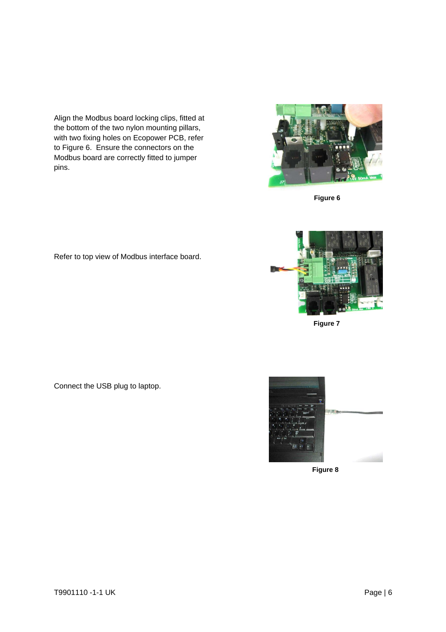Align the Modbus board locking clips, fitted at the bottom of the two nylon mounting pillars, with two fixing holes on Ecopower PCB, refer to Figure 6. Ensure the connectors on the Modbus board are correctly fitted to jumper pins.



**Figure 6**

Refer to top view of Modbus interface board.





**Figure 7**



**Figure 8**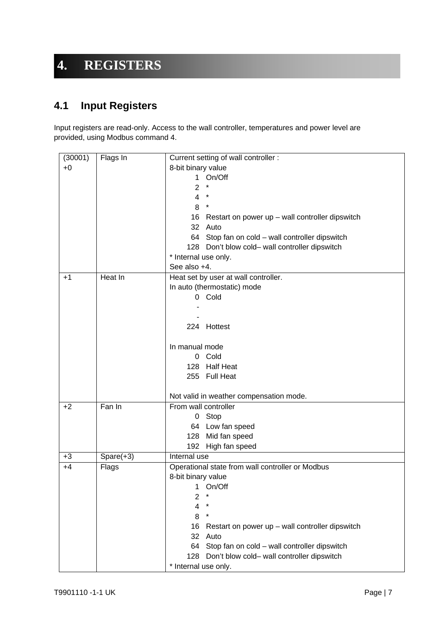### **4. REGISTERS**

### **4.1 Input Registers**

Input registers are read-only. Access to the wall controller, temperatures and power level are provided, using Modbus command 4.

| (30001) | Flags In     | Current setting of wall controller :                    |
|---------|--------------|---------------------------------------------------------|
| $+0$    |              | 8-bit binary value                                      |
|         |              | 1 On/Off                                                |
|         |              | $\star$<br>2                                            |
|         |              | $\overline{4}$<br>$^{\star}$                            |
|         |              | 8<br>$\star$                                            |
|         |              | 16<br>Restart on power up $-$ wall controller dipswitch |
|         |              | 32 Auto                                                 |
|         |              | 64 Stop fan on cold - wall controller dipswitch         |
|         |              | 128 Don't blow cold- wall controller dipswitch          |
|         |              | * Internal use only.                                    |
|         |              | See also +4.                                            |
| $+1$    | Heat In      | Heat set by user at wall controller.                    |
|         |              | In auto (thermostatic) mode                             |
|         |              | 0 Cold                                                  |
|         |              |                                                         |
|         |              |                                                         |
|         |              | 224 Hottest                                             |
|         |              | In manual mode                                          |
|         |              | 0 Cold                                                  |
|         |              | 128 Half Heat                                           |
|         |              | 255 Full Heat                                           |
|         |              |                                                         |
|         |              | Not valid in weather compensation mode.                 |
| $+2$    | $Fan$ In     | From wall controller                                    |
|         |              | 0 Stop                                                  |
|         |              | 64 Low fan speed                                        |
|         |              | Mid fan speed<br>128                                    |
|         |              | 192 High fan speed                                      |
| $+3$    | $Sparse(+3)$ | Internal use                                            |
| $+4$    | Flags        | Operational state from wall controller or Modbus        |
|         |              | 8-bit binary value                                      |
|         |              | 1 On/Off                                                |
|         |              | $^\star$<br>2                                           |
|         |              | *<br>4                                                  |
|         |              | 8<br>*                                                  |
|         |              | 16<br>Restart on power up - wall controller dipswitch   |
|         |              | 32<br>Auto                                              |
|         |              | Stop fan on cold - wall controller dipswitch<br>64      |
|         |              | Don't blow cold- wall controller dipswitch<br>128       |
|         |              | * Internal use only.                                    |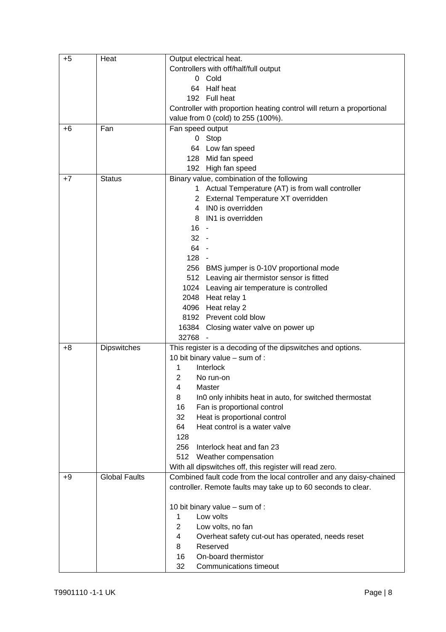| $+5$ | Heat                 | Output electrical heat.                                               |
|------|----------------------|-----------------------------------------------------------------------|
|      |                      | Controllers with off/half/full output                                 |
|      |                      | 0 Cold                                                                |
|      |                      | 64 Half heat                                                          |
|      |                      | 192 Full heat                                                         |
|      |                      | Controller with proportion heating control will return a proportional |
|      |                      | value from 0 (cold) to 255 (100%).                                    |
| +6   | Fan                  | Fan speed output                                                      |
|      |                      | 0 Stop                                                                |
|      |                      | 64 Low fan speed                                                      |
|      |                      | 128 Mid fan speed                                                     |
|      |                      | 192 High fan speed                                                    |
| $+7$ | <b>Status</b>        | Binary value, combination of the following                            |
|      |                      | 1 Actual Temperature (AT) is from wall controller                     |
|      |                      | External Temperature XT overridden<br>2                               |
|      |                      | IN0 is overridden<br>4                                                |
|      |                      | IN1 is overridden<br>8                                                |
|      |                      | $16 -$                                                                |
|      |                      | $32 -$                                                                |
|      |                      | 64 -                                                                  |
|      |                      | $128 -$                                                               |
|      |                      | 256 BMS jumper is 0-10V proportional mode                             |
|      |                      | 512 Leaving air thermistor sensor is fitted                           |
|      |                      | 1024 Leaving air temperature is controlled                            |
|      |                      | 2048 Heat relay 1                                                     |
|      |                      | 4096 Heat relay 2                                                     |
|      |                      | 8192 Prevent cold blow                                                |
|      |                      | 16384<br>Closing water valve on power up                              |
|      |                      | 32768                                                                 |
| $+8$ | <b>Dipswitches</b>   | This register is a decoding of the dipswitches and options.           |
|      |                      | 10 bit binary value - sum of :                                        |
|      |                      | 1<br>Interlock                                                        |
|      |                      | 2<br>No run-on                                                        |
|      |                      | 4<br>Master                                                           |
|      |                      | In0 only inhibits heat in auto, for switched thermostat<br>8          |
|      |                      | Fan is proportional control<br>16                                     |
|      |                      | Heat is proportional control<br>32                                    |
|      |                      | Heat control is a water valve<br>64                                   |
|      |                      | 128                                                                   |
|      |                      | 256<br>Interlock heat and fan 23                                      |
|      |                      | 512<br>Weather compensation                                           |
|      |                      | With all dipswitches off, this register will read zero.               |
| $+9$ | <b>Global Faults</b> | Combined fault code from the local controller and any daisy-chained   |
|      |                      | controller. Remote faults may take up to 60 seconds to clear.         |
|      |                      |                                                                       |
|      |                      | 10 bit binary value - sum of :                                        |
|      |                      | Low volts<br>1                                                        |
|      |                      | $\overline{2}$<br>Low volts, no fan                                   |
|      |                      | 4<br>Overheat safety cut-out has operated, needs reset                |
|      |                      | Reserved<br>8                                                         |
|      |                      | On-board thermistor<br>16                                             |
|      |                      | 32<br><b>Communications timeout</b>                                   |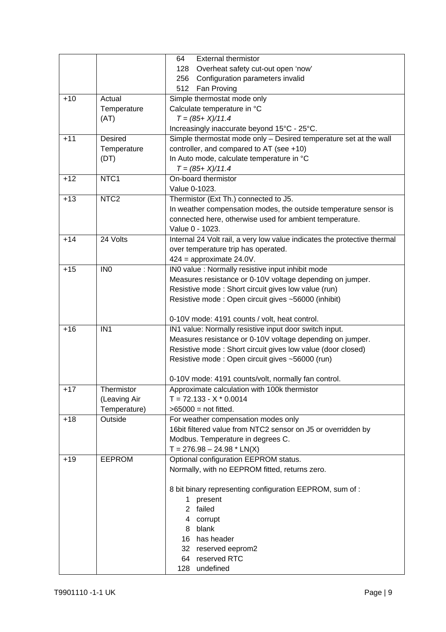|       |                  | <b>External thermistor</b><br>64                                         |
|-------|------------------|--------------------------------------------------------------------------|
|       |                  | Overheat safety cut-out open 'now'<br>128                                |
|       |                  | Configuration parameters invalid<br>256                                  |
|       |                  | 512<br>Fan Proving                                                       |
| $+10$ | Actual           | Simple thermostat mode only                                              |
|       | Temperature      | Calculate temperature in °C                                              |
|       | (AT)             | $T = (85 + X)/11.4$                                                      |
|       |                  | Increasingly inaccurate beyond 15°C - 25°C.                              |
| $+11$ | Desired          | Simple thermostat mode only - Desired temperature set at the wall        |
|       | Temperature      | controller, and compared to AT (see +10)                                 |
|       | (DT)             | In Auto mode, calculate temperature in °C                                |
|       |                  | $T = (85 + X)/11.4$                                                      |
| $+12$ | NTC1             | On-board thermistor                                                      |
|       |                  | Value 0-1023.                                                            |
| $+13$ | NTC <sub>2</sub> | Thermistor (Ext Th.) connected to J5.                                    |
|       |                  | In weather compensation modes, the outside temperature sensor is         |
|       |                  | connected here, otherwise used for ambient temperature.                  |
|       |                  | Value 0 - 1023.                                                          |
| $+14$ | 24 Volts         | Internal 24 Volt rail, a very low value indicates the protective thermal |
|       |                  | over temperature trip has operated.                                      |
|       |                  | $424$ = approximate 24.0V.                                               |
| $+15$ | IN <sub>0</sub>  | IN0 value : Normally resistive input inhibit mode                        |
|       |                  | Measures resistance or 0-10V voltage depending on jumper.                |
|       |                  | Resistive mode : Short circuit gives low value (run)                     |
|       |                  | Resistive mode: Open circuit gives ~56000 (inhibit)                      |
|       |                  |                                                                          |
|       |                  | 0-10V mode: 4191 counts / volt, heat control.                            |
| $+16$ | IN <sub>1</sub>  | IN1 value: Normally resistive input door switch input.                   |
|       |                  | Measures resistance or 0-10V voltage depending on jumper.                |
|       |                  | Resistive mode: Short circuit gives low value (door closed)              |
|       |                  | Resistive mode: Open circuit gives ~56000 (run)                          |
|       |                  |                                                                          |
|       |                  | 0-10V mode: 4191 counts/volt, normally fan control.                      |
| $+17$ | Thermistor       | Approximate calculation with 100k thermistor                             |
|       | (Leaving Air     | $T = 72.133 - X * 0.0014$                                                |
|       | Temperature)     | $>65000$ = not fitted.                                                   |
| $+18$ | Outside          | For weather compensation modes only                                      |
|       |                  | 16bit filtered value from NTC2 sensor on J5 or overridden by             |
|       |                  | Modbus. Temperature in degrees C.                                        |
|       |                  | $T = 276.98 - 24.98 * LN(X)$                                             |
| $+19$ | <b>EEPROM</b>    | Optional configuration EEPROM status.                                    |
|       |                  | Normally, with no EEPROM fitted, returns zero.                           |
|       |                  |                                                                          |
|       |                  | 8 bit binary representing configuration EEPROM, sum of :                 |
|       |                  | 1 present                                                                |
|       |                  | failed<br>2                                                              |
|       |                  | 4 corrupt                                                                |
|       |                  | blank<br>8                                                               |
|       |                  | has header<br>16                                                         |
|       |                  | 32 reserved eeprom2                                                      |
|       |                  | reserved RTC<br>64                                                       |
|       |                  | undefined<br>128                                                         |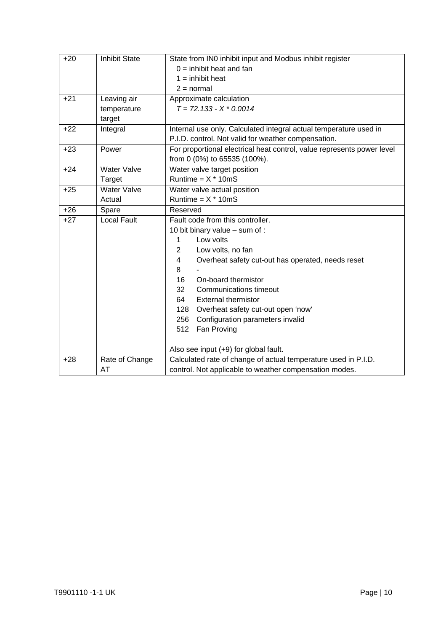| $+20$ | <b>Inhibit State</b> | State from IN0 inhibit input and Modbus inhibit register               |
|-------|----------------------|------------------------------------------------------------------------|
|       |                      | $0 =$ inhibit heat and fan                                             |
|       |                      | $1 =$ inhibit heat                                                     |
|       |                      | $2 = normal$                                                           |
| $+21$ | Leaving air          | Approximate calculation                                                |
|       | temperature          | $T = 72.133 - X * 0.0014$                                              |
|       | target               |                                                                        |
| $+22$ | Integral             | Internal use only. Calculated integral actual temperature used in      |
|       |                      | P.I.D. control. Not valid for weather compensation.                    |
| $+23$ | Power                | For proportional electrical heat control, value represents power level |
|       |                      | from 0 (0%) to 65535 (100%).                                           |
| $+24$ | <b>Water Valve</b>   | Water valve target position                                            |
|       | Target               | Runtime = $X * 10mS$                                                   |
| $+25$ | <b>Water Valve</b>   | Water valve actual position                                            |
|       | Actual               | Runtime = $X * 10mS$                                                   |
| $+26$ | Spare                | Reserved                                                               |
| $+27$ | Local Fault          | Fault code from this controller.                                       |
|       |                      | 10 bit binary value - sum of :                                         |
|       |                      | Low volts<br>1                                                         |
|       |                      | $\overline{2}$<br>Low volts, no fan                                    |
|       |                      | 4<br>Overheat safety cut-out has operated, needs reset                 |
|       |                      | 8                                                                      |
|       |                      | On-board thermistor<br>16                                              |
|       |                      | 32<br>Communications timeout                                           |
|       |                      | 64<br><b>External thermistor</b>                                       |
|       |                      | Overheat safety cut-out open 'now'<br>128                              |
|       |                      | Configuration parameters invalid<br>256                                |
|       |                      | Fan Proving<br>512                                                     |
|       |                      | Also see input (+9) for global fault.                                  |
| $+28$ | Rate of Change       | Calculated rate of change of actual temperature used in P.I.D.         |
|       | AT                   | control. Not applicable to weather compensation modes.                 |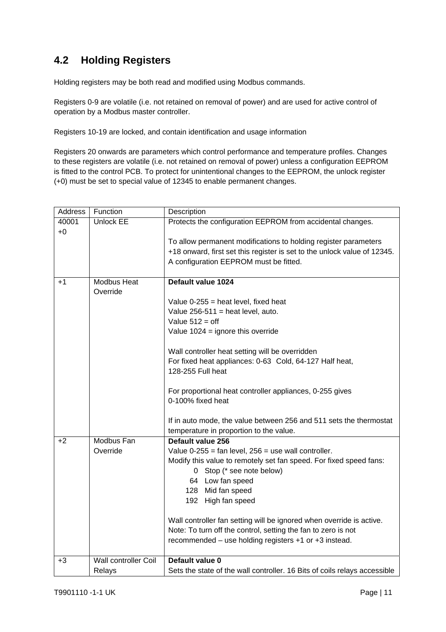### **4.2 Holding Registers**

Holding registers may be both read and modified using Modbus commands.

Registers 0-9 are volatile (i.e. not retained on removal of power) and are used for active control of operation by a Modbus master controller.

Registers 10-19 are locked, and contain identification and usage information

Registers 20 onwards are parameters which control performance and temperature profiles. Changes to these registers are volatile (i.e. not retained on removal of power) unless a configuration EEPROM is fitted to the control PCB. To protect for unintentional changes to the EEPROM, the unlock register (+0) must be set to special value of 12345 to enable permanent changes.

| Address | Function                       | Description                                                               |
|---------|--------------------------------|---------------------------------------------------------------------------|
| 40001   | <b>Unlock EE</b>               | Protects the configuration EEPROM from accidental changes.                |
| $+0$    |                                |                                                                           |
|         |                                | To allow permanent modifications to holding register parameters           |
|         |                                | +18 onward, first set this register is set to the unlock value of 12345.  |
|         |                                | A configuration EEPROM must be fitted.                                    |
|         |                                |                                                                           |
| $+1$    | <b>Modbus Heat</b><br>Override | Default value 1024                                                        |
|         |                                | Value $0-255$ = heat level, fixed heat                                    |
|         |                                | Value $256-511$ = heat level, auto.                                       |
|         |                                | Value $512 = off$                                                         |
|         |                                | Value $1024$ = ignore this override                                       |
|         |                                |                                                                           |
|         |                                | Wall controller heat setting will be overridden                           |
|         |                                | For fixed heat appliances: 0-63 Cold, 64-127 Half heat,                   |
|         |                                | 128-255 Full heat                                                         |
|         |                                |                                                                           |
|         |                                | For proportional heat controller appliances, 0-255 gives                  |
|         |                                | 0-100% fixed heat                                                         |
|         |                                |                                                                           |
|         |                                | If in auto mode, the value between 256 and 511 sets the thermostat        |
|         |                                | temperature in proportion to the value.                                   |
| $+2$    | Modbus Fan                     | Default value 256                                                         |
|         | Override                       | Value $0-255$ = fan level, $256$ = use wall controller.                   |
|         |                                | Modify this value to remotely set fan speed. For fixed speed fans:        |
|         |                                | 0 Stop (* see note below)                                                 |
|         |                                | 64 Low fan speed                                                          |
|         |                                | 128 Mid fan speed                                                         |
|         |                                | 192 High fan speed                                                        |
|         |                                | Wall controller fan setting will be ignored when override is active.      |
|         |                                | Note: To turn off the control, setting the fan to zero is not             |
|         |                                | recommended - use holding registers +1 or +3 instead.                     |
|         |                                |                                                                           |
| $+3$    | <b>Wall controller Coil</b>    | Default value 0                                                           |
|         | Relays                         | Sets the state of the wall controller. 16 Bits of coils relays accessible |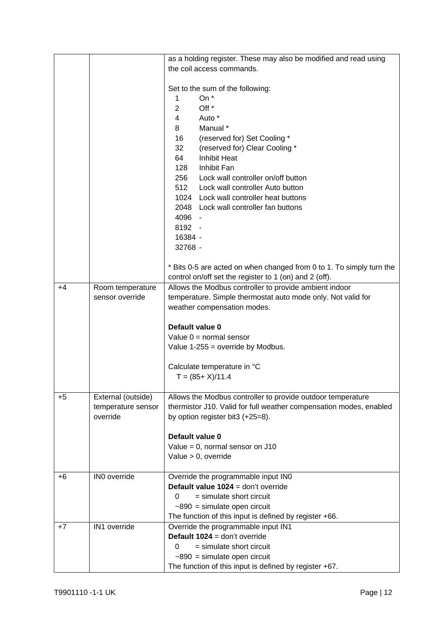|      |                    | as a holding register. These may also be modified and read using     |
|------|--------------------|----------------------------------------------------------------------|
|      |                    | the coil access commands.                                            |
|      |                    |                                                                      |
|      |                    | Set to the sum of the following:                                     |
|      |                    | On *<br>1                                                            |
|      |                    | $\overline{2}$<br>Off <sup>*</sup>                                   |
|      |                    | $4\overline{ }$<br>Auto *                                            |
|      |                    | 8<br>Manual *                                                        |
|      |                    | 16<br>(reserved for) Set Cooling *                                   |
|      |                    | 32<br>(reserved for) Clear Cooling *                                 |
|      |                    | 64<br><b>Inhibit Heat</b>                                            |
|      |                    | 128<br>Inhibit Fan                                                   |
|      |                    | 256<br>Lock wall controller on/off button                            |
|      |                    | 512<br>Lock wall controller Auto button                              |
|      |                    |                                                                      |
|      |                    | 1024 Lock wall controller heat buttons                               |
|      |                    | 2048 Lock wall controller fan buttons                                |
|      |                    | 4096 -                                                               |
|      |                    | 8192 -                                                               |
|      |                    | 16384 -                                                              |
|      |                    | 32768 -                                                              |
|      |                    |                                                                      |
|      |                    | * Bits 0-5 are acted on when changed from 0 to 1. To simply turn the |
|      |                    | control on/off set the register to 1 (on) and 2 (off).               |
| +4   | Room temperature   | Allows the Modbus controller to provide ambient indoor               |
|      | sensor override    | temperature. Simple thermostat auto mode only. Not valid for         |
|      |                    | weather compensation modes.                                          |
|      |                    |                                                                      |
|      |                    | Default value 0                                                      |
|      |                    | Value $0 =$ normal sensor                                            |
|      |                    | Value $1-255$ = override by Modbus.                                  |
|      |                    |                                                                      |
|      |                    | Calculate temperature in °C<br>$T = (85 + X)/11.4$                   |
|      |                    |                                                                      |
| $+5$ | External (outside) | Allows the Modbus controller to provide outdoor temperature          |
|      | temperature sensor | thermistor J10. Valid for full weather compensation modes, enabled   |
|      | override           | by option register bit3 (+25=8).                                     |
|      |                    |                                                                      |
|      |                    | Default value 0                                                      |
|      |                    | Value = $0$ , normal sensor on J10                                   |
|      |                    | Value $> 0$ , override                                               |
|      |                    |                                                                      |
| +6   | IN0 override       | Override the programmable input IN0                                  |
|      |                    | Default value 1024 = don't override                                  |
|      |                    | $=$ simulate short circuit<br>0                                      |
|      |                    | $~1890$ = simulate open circuit                                      |
|      |                    | The function of this input is defined by register +66.               |
| $+7$ | IN1 override       | Override the programmable input IN1                                  |
|      |                    | Default $1024 =$ don't override                                      |
|      |                    | $=$ simulate short circuit<br>0                                      |
|      |                    | $\sim$ 890 = simulate open circuit                                   |
|      |                    | The function of this input is defined by register +67.               |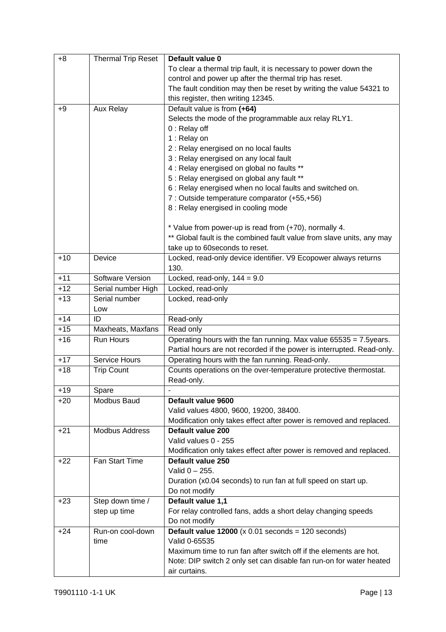| $+8$  | <b>Thermal Trip Reset</b> | Default value 0                                                        |
|-------|---------------------------|------------------------------------------------------------------------|
|       |                           | To clear a thermal trip fault, it is necessary to power down the       |
|       |                           | control and power up after the thermal trip has reset.                 |
|       |                           | The fault condition may then be reset by writing the value 54321 to    |
|       |                           | this register, then writing 12345.                                     |
| $+9$  | Aux Relay                 | Default value is from (+64)                                            |
|       |                           | Selects the mode of the programmable aux relay RLY1.                   |
|       |                           | 0 : Relay off                                                          |
|       |                           | 1 : Relay on                                                           |
|       |                           | 2 : Relay energised on no local faults                                 |
|       |                           | 3 : Relay energised on any local fault                                 |
|       |                           | 4 : Relay energised on global no faults **                             |
|       |                           | 5 : Relay energised on global any fault **                             |
|       |                           | 6 : Relay energised when no local faults and switched on.              |
|       |                           | 7 : Outside temperature comparator (+55,+56)                           |
|       |                           | 8 : Relay energised in cooling mode                                    |
|       |                           | * Value from power-up is read from (+70), normally 4.                  |
|       |                           | ** Global fault is the combined fault value from slave units, any may  |
|       |                           | take up to 60 seconds to reset.                                        |
| $+10$ | Device                    | Locked, read-only device identifier. V9 Ecopower always returns        |
|       |                           | 130.                                                                   |
| $+11$ | Software Version          | Locked, read-only, $144 = 9.0$                                         |
| $+12$ | Serial number High        | Locked, read-only                                                      |
| $+13$ | Serial number             | Locked, read-only                                                      |
|       | Low                       |                                                                        |
| $+14$ | ID                        | Read-only                                                              |
| $+15$ | Maxheats, Maxfans         | Read only                                                              |
| $+16$ | Run Hours                 | Operating hours with the fan running. Max value 65535 = 7.5years.      |
|       |                           | Partial hours are not recorded if the power is interrupted. Read-only. |
| $+17$ | <b>Service Hours</b>      | Operating hours with the fan running. Read-only.                       |
| $+18$ | <b>Trip Count</b>         | Counts operations on the over-temperature protective thermostat.       |
|       |                           | Read-only.                                                             |
| $+19$ | Spare                     |                                                                        |
| $+20$ | Modbus Baud               | Default value 9600                                                     |
|       |                           | Valid values 4800, 9600, 19200, 38400.                                 |
|       |                           | Modification only takes effect after power is removed and replaced.    |
| $+21$ | <b>Modbus Address</b>     | Default value 200                                                      |
|       |                           | Valid values 0 - 255                                                   |
|       |                           | Modification only takes effect after power is removed and replaced.    |
| $+22$ | Fan Start Time            | Default value 250                                                      |
|       |                           | Valid $0 - 255$ .                                                      |
|       |                           | Duration (x0.04 seconds) to run fan at full speed on start up.         |
|       |                           | Do not modify                                                          |
| $+23$ | Step down time /          | Default value 1,1                                                      |
|       | step up time              | For relay controlled fans, adds a short delay changing speeds          |
|       |                           | Do not modify                                                          |
| $+24$ | Run-on cool-down          | Default value $12000$ (x 0.01 seconds = 120 seconds)                   |
|       | time                      | Valid 0-65535                                                          |
|       |                           | Maximum time to run fan after switch off if the elements are hot.      |
|       |                           | Note: DIP switch 2 only set can disable fan run-on for water heated    |
|       |                           | air curtains.                                                          |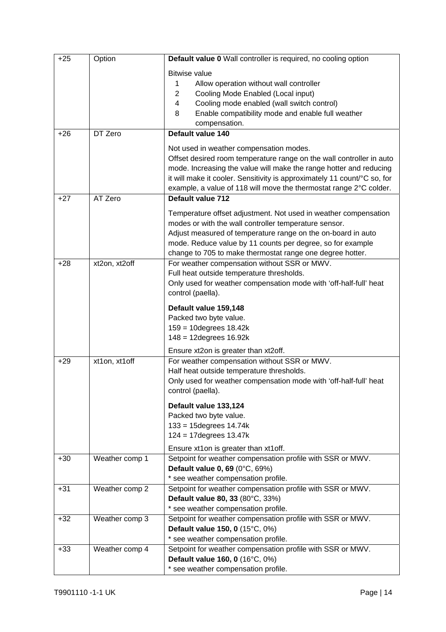| $+25$ | Option         | Default value 0 Wall controller is required, no cooling option                                                                                                                                                                                                                                                                                               |
|-------|----------------|--------------------------------------------------------------------------------------------------------------------------------------------------------------------------------------------------------------------------------------------------------------------------------------------------------------------------------------------------------------|
|       |                | <b>Bitwise value</b><br>1<br>Allow operation without wall controller<br>Cooling Mode Enabled (Local input)<br>2<br>$\overline{4}$<br>Cooling mode enabled (wall switch control)<br>8<br>Enable compatibility mode and enable full weather<br>compensation.                                                                                                   |
| $+26$ | DT Zero        | Default value 140                                                                                                                                                                                                                                                                                                                                            |
| $+27$ | AT Zero        | Not used in weather compensation modes.<br>Offset desired room temperature range on the wall controller in auto<br>mode. Increasing the value will make the range hotter and reducing<br>it will make it cooler. Sensitivity is approximately 11 count/°C so, for<br>example, a value of 118 will move the thermostat range 2°C colder.<br>Default value 712 |
|       |                | Temperature offset adjustment. Not used in weather compensation<br>modes or with the wall controller temperature sensor.<br>Adjust measured of temperature range on the on-board in auto<br>mode. Reduce value by 11 counts per degree, so for example<br>change to 705 to make thermostat range one degree hotter.                                          |
| $+28$ | xt2on, xt2off  | For weather compensation without SSR or MWV.<br>Full heat outside temperature thresholds.<br>Only used for weather compensation mode with 'off-half-full' heat<br>control (paella).                                                                                                                                                                          |
|       |                | Default value 159,148<br>Packed two byte value.<br>159 = 10degrees 18.42k<br>$148 = 12$ degrees $16.92k$                                                                                                                                                                                                                                                     |
| $+29$ | xt1on, xt1off  | Ensure xt2on is greater than xt2off.<br>For weather compensation without SSR or MWV.<br>Half heat outside temperature thresholds.<br>Only used for weather compensation mode with 'off-half-full' heat<br>control (paella).                                                                                                                                  |
|       |                | Default value 133,124<br>Packed two byte value.<br>$133 = 15$ degrees $14.74k$<br>$124 = 17$ degrees $13.47k$                                                                                                                                                                                                                                                |
| $+30$ | Weather comp 1 | Ensure xt1on is greater than xt1off.<br>Setpoint for weather compensation profile with SSR or MWV.<br>Default value 0, 69 (0°C, 69%)<br>* see weather compensation profile.                                                                                                                                                                                  |
| $+31$ | Weather comp 2 | Setpoint for weather compensation profile with SSR or MWV.<br>Default value 80, 33 (80°C, 33%)<br>* see weather compensation profile.                                                                                                                                                                                                                        |
| $+32$ | Weather comp 3 | Setpoint for weather compensation profile with SSR or MWV.<br>Default value 150, 0 (15°C, 0%)<br>* see weather compensation profile.                                                                                                                                                                                                                         |
| $+33$ | Weather comp 4 | Setpoint for weather compensation profile with SSR or MWV.<br>Default value 160, 0 (16°C, 0%)<br>* see weather compensation profile.                                                                                                                                                                                                                         |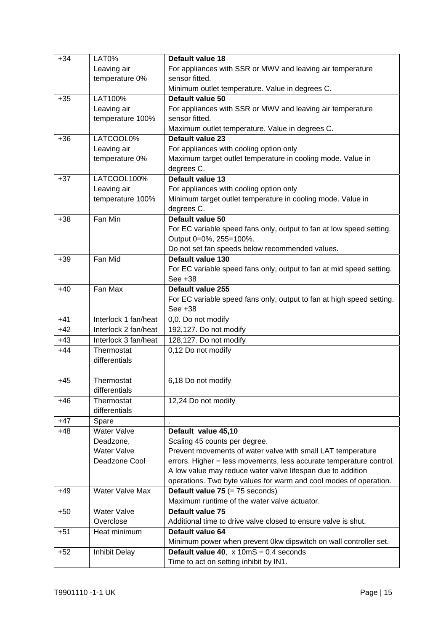| $+34$ | LAT0%                | Default value 18                                                                  |
|-------|----------------------|-----------------------------------------------------------------------------------|
|       | Leaving air          | For appliances with SSR or MWV and leaving air temperature                        |
|       | temperature 0%       | sensor fitted.                                                                    |
|       |                      | Minimum outlet temperature. Value in degrees C.                                   |
| $+35$ | LAT100%              | Default value 50                                                                  |
|       | Leaving air          | For appliances with SSR or MWV and leaving air temperature                        |
|       | temperature 100%     | sensor fitted.                                                                    |
|       |                      | Maximum outlet temperature. Value in degrees C.                                   |
| $+36$ | LATCOOL0%            | Default value 23                                                                  |
|       | Leaving air          | For appliances with cooling option only                                           |
|       | temperature 0%       | Maximum target outlet temperature in cooling mode. Value in                       |
|       |                      | degrees C.                                                                        |
| $+37$ | LATCOOL100%          | Default value 13                                                                  |
|       | Leaving air          | For appliances with cooling option only                                           |
|       | temperature 100%     | Minimum target outlet temperature in cooling mode. Value in                       |
|       |                      | degrees C.                                                                        |
| $+38$ | Fan Min              | Default value 50                                                                  |
|       |                      | For EC variable speed fans only, output to fan at low speed setting.              |
|       |                      | Output 0=0%, 255=100%.                                                            |
|       | Fan Mid              | Do not set fan speeds below recommended values.<br>Default value 130              |
| $+39$ |                      |                                                                                   |
|       |                      | For EC variable speed fans only, output to fan at mid speed setting.<br>See $+38$ |
| $+40$ | Fan Max              | Default value 255                                                                 |
|       |                      | For EC variable speed fans only, output to fan at high speed setting.             |
|       |                      | See +38                                                                           |
| $+41$ | Interlock 1 fan/heat | 0,0. Do not modify                                                                |
| $+42$ | Interlock 2 fan/heat | 192,127. Do not modify                                                            |
| $+43$ | Interlock 3 fan/heat | 128,127. Do not modify                                                            |
| $+44$ | Thermostat           | 0,12 Do not modify                                                                |
|       | differentials        |                                                                                   |
|       |                      |                                                                                   |
| $+45$ | Thermostat           | 6,18 Do not modify                                                                |
|       | differentials        |                                                                                   |
| $+46$ | Thermostat           | 12,24 Do not modify                                                               |
|       | differentials        |                                                                                   |
| $+47$ | Spare                |                                                                                   |
| $+48$ | Water Valve          | Default value 45,10                                                               |
|       | Deadzone,            | Scaling 45 counts per degree.                                                     |
|       | <b>Water Valve</b>   | Prevent movements of water valve with small LAT temperature                       |
|       | Deadzone Cool        | errors. Higher = less movements, less accurate temperature control.               |
|       |                      | A low value may reduce water valve lifespan due to addition                       |
|       |                      | operations. Two byte values for warm and cool modes of operation.                 |
| $+49$ | Water Valve Max      | Default value 75 $(= 75$ seconds)                                                 |
|       |                      | Maximum runtime of the water valve actuator.                                      |
| $+50$ | <b>Water Valve</b>   | Default value 75                                                                  |
|       | Overclose            | Additional time to drive valve closed to ensure valve is shut.                    |
| $+51$ | Heat minimum         | Default value 64                                                                  |
|       |                      | Minimum power when prevent 0kw dipswitch on wall controller set.                  |
| $+52$ | <b>Inhibit Delay</b> | Default value 40, $x 10 \text{mS} = 0.4$ seconds                                  |
|       |                      | Time to act on setting inhibit by IN1.                                            |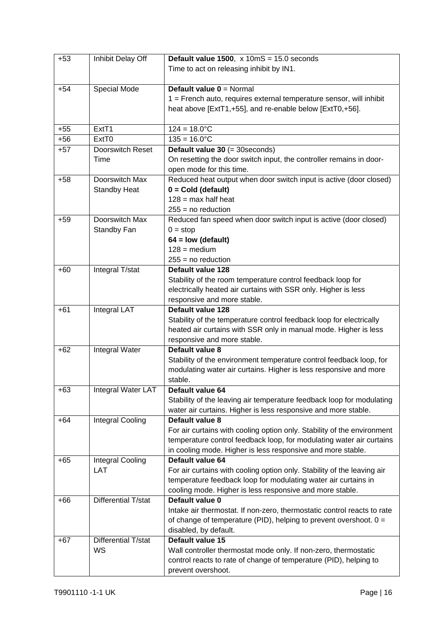| $+53$ | Inhibit Delay Off       | Default value 1500, $x$ 10mS = 15.0 seconds                                     |
|-------|-------------------------|---------------------------------------------------------------------------------|
|       |                         | Time to act on releasing inhibit by IN1.                                        |
|       |                         |                                                                                 |
| $+54$ | Special Mode            | Default value $0 =$ Normal                                                      |
|       |                         | 1 = French auto, requires external temperature sensor, will inhibit             |
|       |                         | heat above [ExtT1,+55], and re-enable below [ExtT0,+56].                        |
|       |                         |                                                                                 |
| $+55$ | Ext <sub>T1</sub>       | $124 = 18.0^{\circ}C$                                                           |
| $+56$ | Ext <sub>T0</sub>       | $135 = 16.0^{\circ}C$                                                           |
| $+57$ | Doorswitch Reset        | Default value 30 (= 30 seconds)                                                 |
|       | Time                    | On resetting the door switch input, the controller remains in door-             |
|       |                         | open mode for this time.                                                        |
| $+58$ | Doorswitch Max          | Reduced heat output when door switch input is active (door closed)              |
|       | <b>Standby Heat</b>     | $0 = Cold$ (default)                                                            |
|       |                         | $128 = max$ half heat                                                           |
|       |                         | $255 = no reduction$                                                            |
| $+59$ | Doorswitch Max          | Reduced fan speed when door switch input is active (door closed)                |
|       | Standby Fan             | $0 = stop$                                                                      |
|       |                         | $64 = low (default)$                                                            |
|       |                         | $128 = \text{medium}$                                                           |
|       |                         | $255 = no reduction$                                                            |
| $+60$ | Integral T/stat         | Default value 128                                                               |
|       |                         | Stability of the room temperature control feedback loop for                     |
|       |                         | electrically heated air curtains with SSR only. Higher is less                  |
|       |                         | responsive and more stable.                                                     |
| $+61$ | Integral LAT            | Default value 128                                                               |
|       |                         | Stability of the temperature control feedback loop for electrically             |
|       |                         | heated air curtains with SSR only in manual mode. Higher is less                |
|       |                         | responsive and more stable.                                                     |
| $+62$ | Integral Water          | Default value 8                                                                 |
|       |                         | Stability of the environment temperature control feedback loop, for             |
|       |                         | modulating water air curtains. Higher is less responsive and more               |
|       |                         | stable.                                                                         |
| $+63$ | Integral Water LAT      | Default value 64                                                                |
|       |                         | Stability of the leaving air temperature feedback loop for modulating           |
|       |                         | water air curtains. Higher is less responsive and more stable.                  |
| $+64$ | Integral Cooling        | Default value 8                                                                 |
|       |                         | For air curtains with cooling option only. Stability of the environment         |
|       |                         | temperature control feedback loop, for modulating water air curtains            |
|       |                         | in cooling mode. Higher is less responsive and more stable.<br>Default value 64 |
| $+65$ | Integral Cooling<br>LAT | For air curtains with cooling option only. Stability of the leaving air         |
|       |                         | temperature feedback loop for modulating water air curtains in                  |
|       |                         | cooling mode. Higher is less responsive and more stable.                        |
| $+66$ | Differential T/stat     | Default value 0                                                                 |
|       |                         | Intake air thermostat. If non-zero, thermostatic control reacts to rate         |
|       |                         | of change of temperature (PID), helping to prevent overshoot. $0 =$             |
|       |                         | disabled, by default.                                                           |
| $+67$ | Differential T/stat     | Default value 15                                                                |
|       | WS                      | Wall controller thermostat mode only. If non-zero, thermostatic                 |
|       |                         | control reacts to rate of change of temperature (PID), helping to               |
|       |                         | prevent overshoot.                                                              |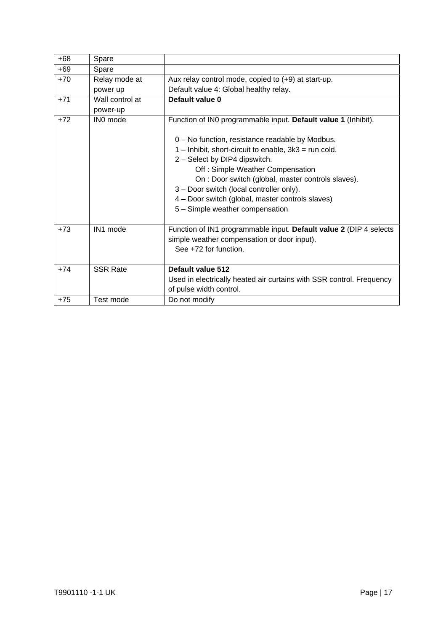| $+68$ | Spare           |                                                                                                                                                                                                                                                                                                                                                                        |
|-------|-----------------|------------------------------------------------------------------------------------------------------------------------------------------------------------------------------------------------------------------------------------------------------------------------------------------------------------------------------------------------------------------------|
| $+69$ | Spare           |                                                                                                                                                                                                                                                                                                                                                                        |
| $+70$ | Relay mode at   | Aux relay control mode, copied to (+9) at start-up.                                                                                                                                                                                                                                                                                                                    |
|       | power up        | Default value 4: Global healthy relay.                                                                                                                                                                                                                                                                                                                                 |
| $+71$ | Wall control at | Default value 0                                                                                                                                                                                                                                                                                                                                                        |
|       | power-up        |                                                                                                                                                                                                                                                                                                                                                                        |
| $+72$ | IN0 mode        | Function of INO programmable input. Default value 1 (Inhibit).                                                                                                                                                                                                                                                                                                         |
|       |                 | 0 - No function, resistance readable by Modbus.<br>1 - Inhibit, short-circuit to enable, 3k3 = run cold.<br>2 - Select by DIP4 dipswitch.<br>Off: Simple Weather Compensation<br>On : Door switch (global, master controls slaves).<br>3 - Door switch (local controller only).<br>4 - Door switch (global, master controls slaves)<br>5 - Simple weather compensation |
| $+73$ | IN1 mode        | Function of IN1 programmable input. Default value 2 (DIP 4 selects<br>simple weather compensation or door input).<br>See +72 for function.                                                                                                                                                                                                                             |
| $+74$ | <b>SSR Rate</b> | Default value 512                                                                                                                                                                                                                                                                                                                                                      |
|       |                 | Used in electrically heated air curtains with SSR control. Frequency                                                                                                                                                                                                                                                                                                   |
|       |                 | of pulse width control.                                                                                                                                                                                                                                                                                                                                                |
| $+75$ | Test mode       | Do not modify                                                                                                                                                                                                                                                                                                                                                          |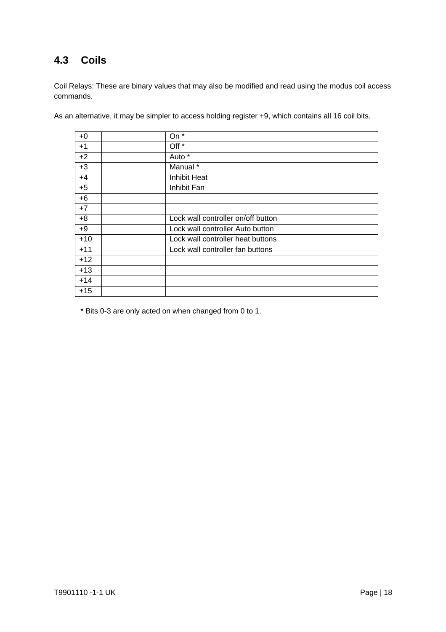### **4.3 Coils**

Coil Relays: These are binary values that may also be modified and read using the modus coil access commands.

| $+0$  | On *                               |
|-------|------------------------------------|
| $+1$  | Off *                              |
| $+2$  | Auto *                             |
| $+3$  | Manual <sup>*</sup>                |
| $+4$  | <b>Inhibit Heat</b>                |
| $+5$  | Inhibit Fan                        |
| $+6$  |                                    |
| $+7$  |                                    |
| $+8$  | Lock wall controller on/off button |
| $+9$  | Lock wall controller Auto button   |
| $+10$ | Lock wall controller heat buttons  |
| $+11$ | Lock wall controller fan buttons   |
| $+12$ |                                    |
| $+13$ |                                    |
| $+14$ |                                    |
| $+15$ |                                    |

As an alternative, it may be simpler to access holding register +9, which contains all 16 coil bits.

\* Bits 0-3 are only acted on when changed from 0 to 1.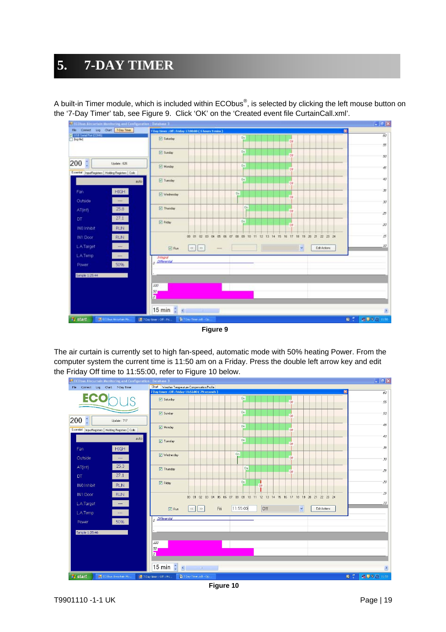### **5. 7-DAY TIMER**

A built-in Timer module, which is included within ECObus®, is selected by clicking the left mouse button on the '7-Day Timer' tab, see Figure 9. Click 'OK' on the 'Created event file CurtainCall.xml'.



**Figure 9**

The air curtain is currently set to high fan-speed, automatic mode with 50% heating Power. From the computer system the current time is 11:50 am on a Friday. Press the double left arrow key and edit the Friday Off time to 11:55:00, refer to Figure 10 below.

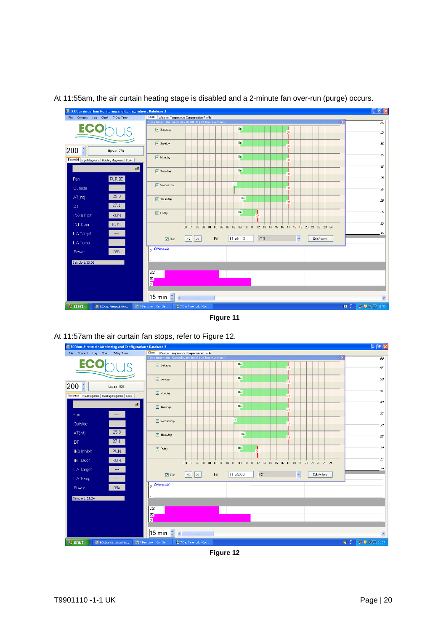

#### At 11:55am, the air curtain heating stage is disabled and a 2-minute fan over-run (purge) occurs.

**Figure 11**

At 11:57am the air curtain fan stops, refer to Figure 12.



**Figure 12**